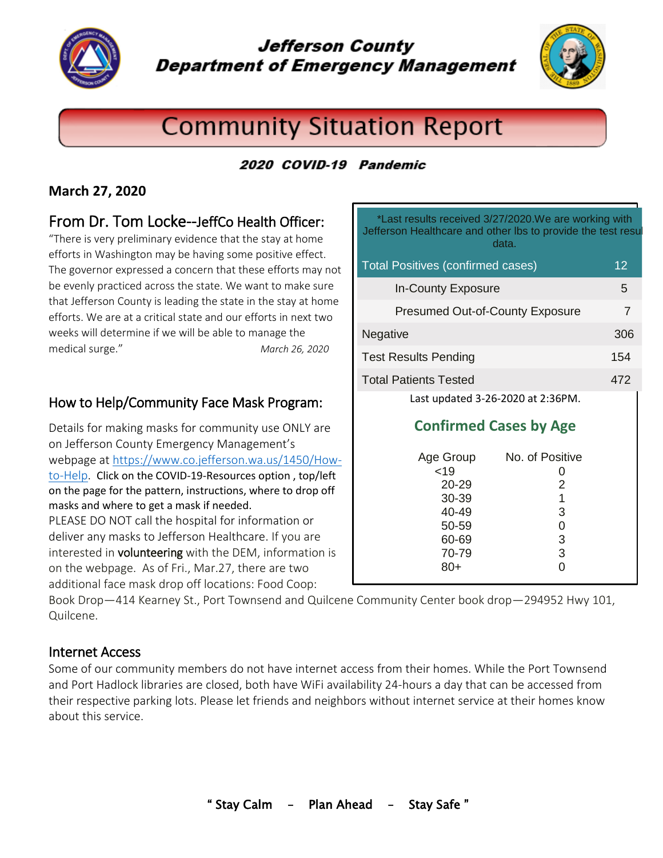

Jefferson County **Department of Emergency Management** 



# **Community Situation Report**

# 2020 COVID-19 Pandemic

# **March 27, 2020**

# From Dr. Tom Locke--JeffCo Health Officer:

"There is very preliminary evidence that the stay at home efforts in Washington may be having some positive effect. The governor expressed a concern that these efforts may not be evenly practiced across the state. We want to make sure that Jefferson County is leading the state in the stay at home efforts. We are at a critical state and our efforts in next two weeks will determine if we will be able to manage the medical surge." *March 26, 2020*

## How to Help/Community Face Mask Program:

Details for making masks for community use ONLY are on Jefferson County Emergency Management's webpage at [https://www.co.jefferson.wa.us/1450/How](https://www.co.jefferson.wa.us/1450/How-to-Help)[to-Help.](https://www.co.jefferson.wa.us/1450/How-to-Help) Click on the COVID-19-Resources option , top/left on the page for the pattern, instructions, where to drop off masks and where to get a mask if needed. PLEASE DO NOT call the hospital for information or deliver any masks to Jefferson Healthcare. If you are interested in **volunteering** with the DEM, information is on the webpage. As of Fri., Mar.27, there are two additional face mask drop off locations: Food Coop:

\*Last results received 3/27/2020.We are working with Jefferson Healthcare and other lbs to provide the test resu data.

| <b>Total Positives (confirmed cases)</b> | 12  |
|------------------------------------------|-----|
| <b>In-County Exposure</b>                | 5   |
| <b>Presumed Out-of-County Exposure</b>   | 7   |
| <b>Negative</b>                          | 306 |
| <b>Test Results Pending</b>              | 154 |
| <b>Total Patients Tested</b>             | 472 |
| Last updated 3-26-2020 at 2:36PM.        |     |

# **Confirmed Cases by Age**

| Age Group<br>< 19<br>20-29<br>30-39<br>40-49 | No. of Positive<br>2<br>1<br>3 |
|----------------------------------------------|--------------------------------|
| 50-59<br>60-69<br>70-79<br>$80+$             | 3<br>3                         |

Book Drop—414 Kearney St., Port Townsend and Quilcene Community Center book drop—294952 Hwy 101, Quilcene.

## Internet Access

Some of our community members do not have internet access from their homes. While the Port Townsend and Port Hadlock libraries are closed, both have WiFi availability 24-hours a day that can be accessed from their respective parking lots. Please let friends and neighbors without internet service at their homes know about this service.